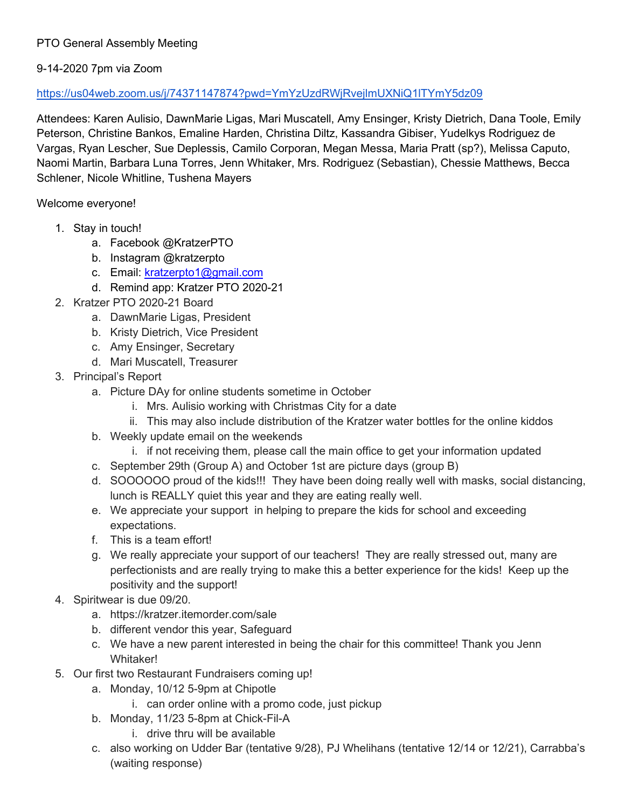## PTO General Assembly Meeting

## 9-14-2020 7pm via Zoom

## <https://us04web.zoom.us/j/74371147874?pwd=YmYzUzdRWjRvejlmUXNiQ1lTYmY5dz09>

Attendees: Karen Aulisio, DawnMarie Ligas, Mari Muscatell, Amy Ensinger, Kristy Dietrich, Dana Toole, Emily Peterson, Christine Bankos, Emaline Harden, Christina Diltz, Kassandra Gibiser, Yudelkys Rodriguez de Vargas, Ryan Lescher, Sue Deplessis, Camilo Corporan, Megan Messa, Maria Pratt (sp?), Melissa Caputo, Naomi Martin, Barbara Luna Torres, Jenn Whitaker, Mrs. Rodriguez (Sebastian), Chessie Matthews, Becca Schlener, Nicole Whitline, Tushena Mayers

Welcome everyone!

- 1. Stay in touch!
	- a. Facebook @KratzerPTO
	- b. Instagram @kratzerpto
	- c. Email: [kratzerpto1@gmail.com](mailto:kratzerpto1@gmail.com)
	- d. Remind app: Kratzer PTO 2020-21
- 2. Kratzer PTO 2020-21 Board
	- a. DawnMarie Ligas, President
	- b. Kristy Dietrich, Vice President
	- c. Amy Ensinger, Secretary
	- d. Mari Muscatell, Treasurer
- 3. Principal's Report
	- a. Picture DAy for online students sometime in October
		- i. Mrs. Aulisio working with Christmas City for a date
		- ii. This may also include distribution of the Kratzer water bottles for the online kiddos
	- b. Weekly update email on the weekends
		- i. if not receiving them, please call the main office to get your information updated
	- c. September 29th (Group A) and October 1st are picture days (group B)
	- d. SOOOOOO proud of the kids!!! They have been doing really well with masks, social distancing, lunch is REALLY quiet this year and they are eating really well.
	- e. We appreciate your support in helping to prepare the kids for school and exceeding expectations.
	- f. This is a team effort!
	- g. We really appreciate your support of our teachers! They are really stressed out, many are perfectionists and are really trying to make this a better experience for the kids! Keep up the positivity and the support!
- 4. Spiritwear is due 09/20.
	- a. https://kratzer.itemorder.com/sale
	- b. different vendor this year, Safeguard
	- c. We have a new parent interested in being the chair for this committee! Thank you Jenn Whitaker!
- 5. Our first two Restaurant Fundraisers coming up!
	- a. Monday, 10/12 5-9pm at Chipotle
		- i. can order online with a promo code, just pickup
	- b. Monday, 11/23 5-8pm at Chick-Fil-A
		- i. drive thru will be available
	- c. also working on Udder Bar (tentative 9/28), PJ Whelihans (tentative 12/14 or 12/21), Carrabba's (waiting response)